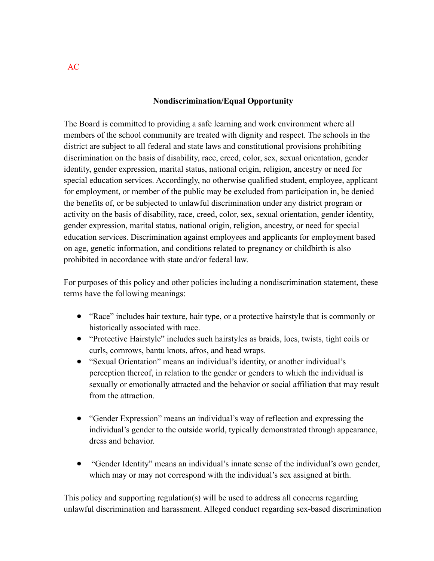#### **Nondiscrimination/Equal Opportunity**

The Board is committed to providing a safe learning and work environment where all members of the school community are treated with dignity and respect. The schools in the district are subject to all federal and state laws and constitutional provisions prohibiting discrimination on the basis of disability, race, creed, color, sex, sexual orientation, gender identity, gender expression, marital status, national origin, religion, ancestry or need for special education services. Accordingly, no otherwise qualified student, employee, applicant for employment, or member of the public may be excluded from participation in, be denied the benefits of, or be subjected to unlawful discrimination under any district program or activity on the basis of disability, race, creed, color, sex, sexual orientation, gender identity, gender expression, marital status, national origin, religion, ancestry, or need for special education services. Discrimination against employees and applicants for employment based on age, genetic information, and conditions related to pregnancy or childbirth is also prohibited in accordance with state and/or federal law.

For purposes of this policy and other policies including a nondiscrimination statement, these terms have the following meanings:

- "Race" includes hair texture, hair type, or a protective hairstyle that is commonly or historically associated with race.
- "Protective Hairstyle" includes such hairstyles as braids, locs, twists, tight coils or curls, cornrows, bantu knots, afros, and head wraps.
- "Sexual Orientation" means an individual's identity, or another individual's perception thereof, in relation to the gender or genders to which the individual is sexually or emotionally attracted and the behavior or social affiliation that may result from the attraction.
- "Gender Expression" means an individual's way of reflection and expressing the individual's gender to the outside world, typically demonstrated through appearance, dress and behavior.
- "Gender Identity" means an individual's innate sense of the individual's own gender, which may or may not correspond with the individual's sex assigned at birth.

This policy and supporting regulation(s) will be used to address all concerns regarding unlawful discrimination and harassment. Alleged conduct regarding sex-based discrimination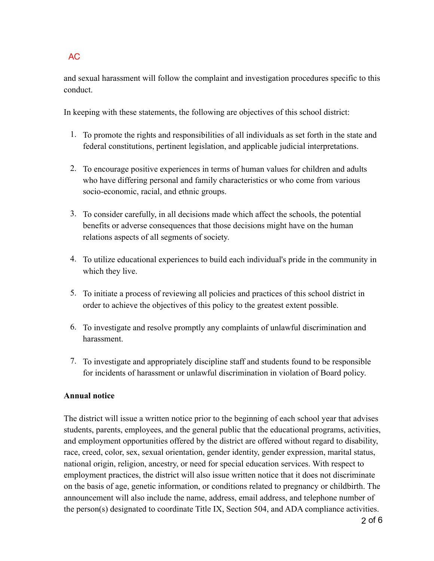and sexual harassment will follow the complaint and investigation procedures specific to this conduct.

In keeping with these statements, the following are objectives of this school district:

- 1. To promote the rights and responsibilities of all individuals as set forth in the state and federal constitutions, pertinent legislation, and applicable judicial interpretations.
- 2. To encourage positive experiences in terms of human values for children and adults who have differing personal and family characteristics or who come from various socio-economic, racial, and ethnic groups.
- 3. To consider carefully, in all decisions made which affect the schools, the potential benefits or adverse consequences that those decisions might have on the human relations aspects of all segments of society.
- 4. To utilize educational experiences to build each individual's pride in the community in which they live.
- 5. To initiate a process of reviewing all policies and practices of this school district in order to achieve the objectives of this policy to the greatest extent possible.
- 6. To investigate and resolve promptly any complaints of unlawful discrimination and harassment.
- 7. To investigate and appropriately discipline staff and students found to be responsible for incidents of harassment or unlawful discrimination in violation of Board policy.

## **Annual notice**

The district will issue a written notice prior to the beginning of each school year that advises students, parents, employees, and the general public that the educational programs, activities, and employment opportunities offered by the district are offered without regard to disability, race, creed, color, sex, sexual orientation, gender identity, gender expression, marital status, national origin, religion, ancestry, or need for special education services. With respect to employment practices, the district will also issue written notice that it does not discriminate on the basis of age, genetic information, or conditions related to pregnancy or childbirth. The announcement will also include the name, address, email address, and telephone number of the person(s) designated to coordinate Title IX, Section 504, and ADA compliance activities.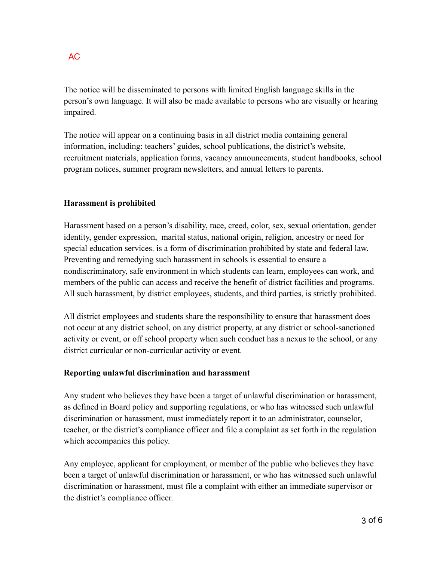The notice will be disseminated to persons with limited English language skills in the person's own language. It will also be made available to persons who are visually or hearing impaired.

The notice will appear on a continuing basis in all district media containing general information, including: teachers' guides, school publications, the district's website, recruitment materials, application forms, vacancy announcements, student handbooks, school program notices, summer program newsletters, and annual letters to parents.

### **Harassment is prohibited**

Harassment based on a person's disability, race, creed, color, sex, sexual orientation, gender identity, gender expression, marital status, national origin, religion, ancestry or need for special education services. is a form of discrimination prohibited by state and federal law. Preventing and remedying such harassment in schools is essential to ensure a nondiscriminatory, safe environment in which students can learn, employees can work, and members of the public can access and receive the benefit of district facilities and programs. All such harassment, by district employees, students, and third parties, is strictly prohibited.

All district employees and students share the responsibility to ensure that harassment does not occur at any district school, on any district property, at any district or school-sanctioned activity or event, or off school property when such conduct has a nexus to the school, or any district curricular or non-curricular activity or event.

#### **Reporting unlawful discrimination and harassment**

Any student who believes they have been a target of unlawful discrimination or harassment, as defined in Board policy and supporting regulations, or who has witnessed such unlawful discrimination or harassment, must immediately report it to an administrator, counselor, teacher, or the district's compliance officer and file a complaint as set forth in the regulation which accompanies this policy.

Any employee, applicant for employment, or member of the public who believes they have been a target of unlawful discrimination or harassment, or who has witnessed such unlawful discrimination or harassment, must file a complaint with either an immediate supervisor or the district's compliance officer.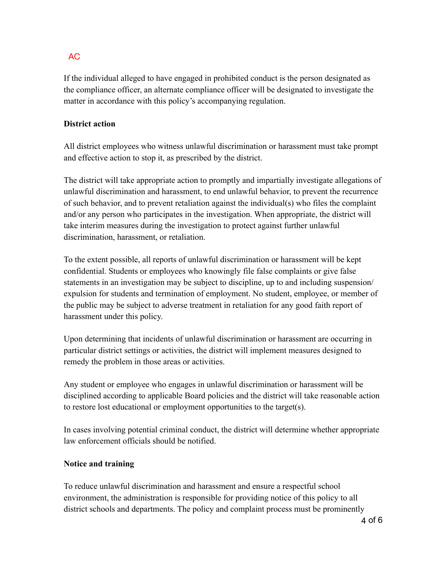If the individual alleged to have engaged in prohibited conduct is the person designated as the compliance officer, an alternate compliance officer will be designated to investigate the matter in accordance with this policy's accompanying regulation.

### **District action**

All district employees who witness unlawful discrimination or harassment must take prompt and effective action to stop it, as prescribed by the district.

The district will take appropriate action to promptly and impartially investigate allegations of unlawful discrimination and harassment, to end unlawful behavior, to prevent the recurrence of such behavior, and to prevent retaliation against the individual(s) who files the complaint and/or any person who participates in the investigation. When appropriate, the district will take interim measures during the investigation to protect against further unlawful discrimination, harassment, or retaliation.

To the extent possible, all reports of unlawful discrimination or harassment will be kept confidential. Students or employees who knowingly file false complaints or give false statements in an investigation may be subject to discipline, up to and including suspension/ expulsion for students and termination of employment. No student, employee, or member of the public may be subject to adverse treatment in retaliation for any good faith report of harassment under this policy.

Upon determining that incidents of unlawful discrimination or harassment are occurring in particular district settings or activities, the district will implement measures designed to remedy the problem in those areas or activities.

Any student or employee who engages in unlawful discrimination or harassment will be disciplined according to applicable Board policies and the district will take reasonable action to restore lost educational or employment opportunities to the target(s).

In cases involving potential criminal conduct, the district will determine whether appropriate law enforcement officials should be notified.

#### **Notice and training**

To reduce unlawful discrimination and harassment and ensure a respectful school environment, the administration is responsible for providing notice of this policy to all district schools and departments. The policy and complaint process must be prominently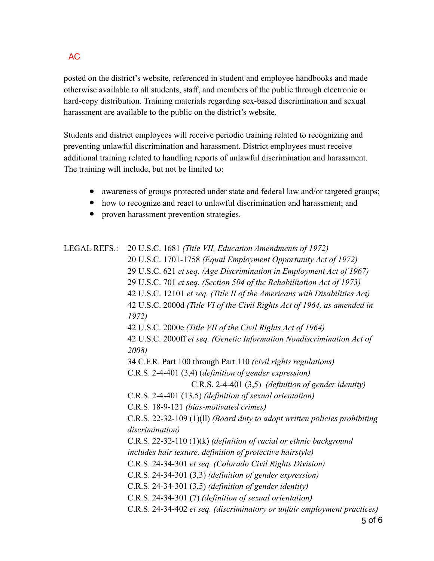posted on the district's website, referenced in student and employee handbooks and made otherwise available to all students, staff, and members of the public through electronic or hard-copy distribution. Training materials regarding sex-based discrimination and sexual harassment are available to the public on the district's website.

Students and district employees will receive periodic training related to recognizing and preventing unlawful discrimination and harassment. District employees must receive additional training related to handling reports of unlawful discrimination and harassment. The training will include, but not be limited to:

- awareness of groups protected under state and federal law and/or targeted groups;
- how to recognize and react to unlawful discrimination and harassment; and
- proven harassment prevention strategies.

LEGAL REFS.: 20 U.S.C. 1681 *(Title VII, Education Amendments of 1972)* 20 U.S.C. 1701-1758 *(Equal Employment Opportunity Act of 1972)* 29 U.S.C. 621 *et seq. (Age Discrimination in Employment Act of 1967)* 29 U.S.C. 701 *et seq. (Section 504 of the Rehabilitation Act of 1973)* 42 U.S.C. 12101 *et seq. (Title II of the Americans with Disabilities Act)* 42 U.S.C. 2000d *(Title VI of the Civil Rights Act of 1964, as amended in 1972)* 42 U.S.C. 2000e *(Title VII of the Civil Rights Act of 1964)* 42 U.S.C. 2000ff *et seq. (Genetic Information Nondiscrimination Act of 2008)* 34 C.F.R. Part 100 through Part 110 *(civil rights regulations)* C.R.S. 2-4-401 (3,4) (*definition of gender expression)* C.R.S. 2-4-401 (3,5) *(definition of gender identity)* C.R.S. 2-4-401 (13.5) *(definition of sexual orientation)* C.R.S. 18-9-121 *(bias-motivated crimes)* C.R.S. 22-32-109 (1)(ll) *(Board duty to adopt written policies prohibiting discrimination)* C.R.S. 22-32-110 (1)(k) *(definition of racial or ethnic background includes hair texture, definition of protective hairstyle)* C.R.S. 24-34-301 *et seq. (Colorado Civil Rights Division)* C.R.S. 24-34-301 (3,3) *(definition of gender expression)* C.R.S. 24-34-301 (3,5) *(definition of gender identity)* C.R.S. 24-34-301 (7) *(definition of sexual orientation)* C.R.S. 24-34-402 *et seq. (discriminatory or unfair employment practices)*